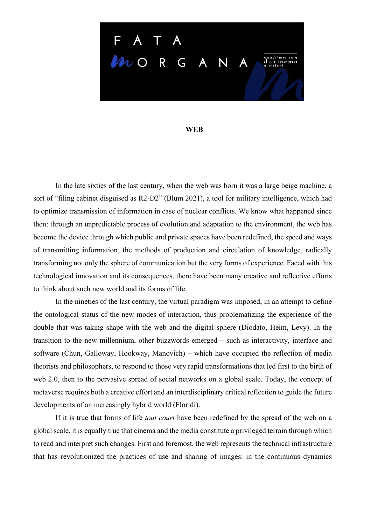

## **WEB**

In the late sixties of the last century, when the web was born it was a large beige machine, a sort of "filing cabinet disguised as R2-D2" (Blum 2021), a tool for military intelligence, which had to optimize transmission of information in case of nuclear conflicts. We know what happened since then: through an unpredictable process of evolution and adaptation to the environment, the web has become the device through which public and private spaces have been redefined, the speed and ways of transmitting information, the methods of production and circulation of knowledge, radically transforming not only the sphere of communication but the very forms of experience. Faced with this technological innovation and its consequences, there have been many creative and reflective efforts to think about such new world and its forms of life.

In the nineties of the last century, the virtual paradigm was imposed, in an attempt to define the ontological status of the new modes of interaction, thus problematizing the experience of the double that was taking shape with the web and the digital sphere (Diodato, Heim, Levy). In the transition to the new millennium, other buzzwords emerged – such as interactivity, interface and software (Chun, Galloway, Hookway, Manovich) – which have occupied the reflection of media theorists and philosophers, to respond to those very rapid transformations that led first to the birth of web 2.0, then to the pervasive spread of social networks on a global scale. Today, the concept of metaverse requires both a creative effort and an interdisciplinary critical reflection to guide the future developments of an increasingly hybrid world (Floridi).

If it is true that forms of life *tout court* have been redefined by the spread of the web on a global scale, it is equally true that cinema and the media constitute a privileged terrain through which to read and interpret such changes. First and foremost, the web represents the technical infrastructure that has revolutionized the practices of use and sharing of images: in the continuous dynamics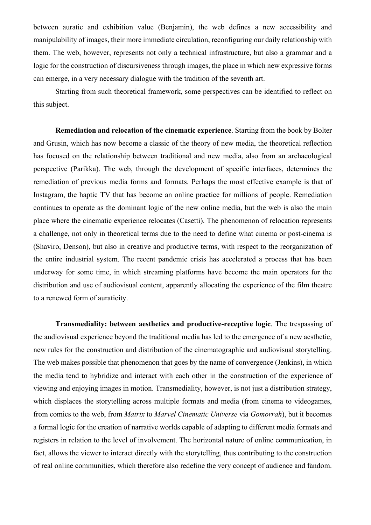between auratic and exhibition value (Benjamin), the web defines a new accessibility and manipulability of images, their more immediate circulation, reconfiguring our daily relationship with them. The web, however, represents not only a technical infrastructure, but also a grammar and a logic for the construction of discursiveness through images, the place in which new expressive forms can emerge, in a very necessary dialogue with the tradition of the seventh art.

Starting from such theoretical framework, some perspectives can be identified to reflect on this subject.

**Remediation and relocation of the cinematic experience**. Starting from the book by Bolter and Grusin, which has now become a classic of the theory of new media, the theoretical reflection has focused on the relationship between traditional and new media, also from an archaeological perspective (Parikka). The web, through the development of specific interfaces, determines the remediation of previous media forms and formats. Perhaps the most effective example is that of Instagram, the haptic TV that has become an online practice for millions of people. Remediation continues to operate as the dominant logic of the new online media, but the web is also the main place where the cinematic experience relocates (Casetti). The phenomenon of relocation represents a challenge, not only in theoretical terms due to the need to define what cinema or post-cinema is (Shaviro, Denson), but also in creative and productive terms, with respect to the reorganization of the entire industrial system. The recent pandemic crisis has accelerated a process that has been underway for some time, in which streaming platforms have become the main operators for the distribution and use of audiovisual content, apparently allocating the experience of the film theatre to a renewed form of auraticity.

**Transmediality: between aesthetics and productive-receptive logic**. The trespassing of the audiovisual experience beyond the traditional media has led to the emergence of a new aesthetic, new rules for the construction and distribution of the cinematographic and audiovisual storytelling. The web makes possible that phenomenon that goes by the name of convergence (Jenkins), in which the media tend to hybridize and interact with each other in the construction of the experience of viewing and enjoying images in motion. Transmediality, however, is not just a distribution strategy, which displaces the storytelling across multiple formats and media (from cinema to videogames, from comics to the web, from *Matrix* to *Marvel Cinematic Universe* via *Gomorrah*), but it becomes a formal logic for the creation of narrative worlds capable of adapting to different media formats and registers in relation to the level of involvement. The horizontal nature of online communication, in fact, allows the viewer to interact directly with the storytelling, thus contributing to the construction of real online communities, which therefore also redefine the very concept of audience and fandom.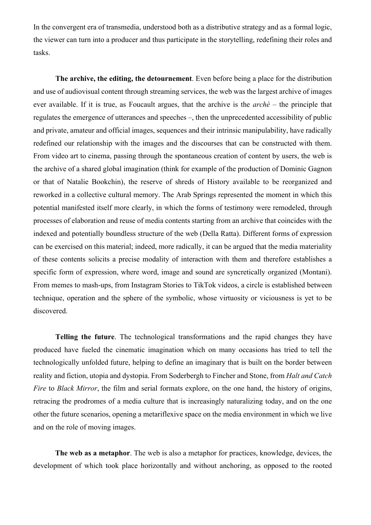In the convergent era of transmedia, understood both as a distributive strategy and as a formal logic, the viewer can turn into a producer and thus participate in the storytelling, redefining their roles and tasks.

**The archive, the editing, the detournement**. Even before being a place for the distribution and use of audiovisual content through streaming services, the web was the largest archive of images ever available. If it is true, as Foucault argues, that the archive is the *archè* – the principle that regulates the emergence of utterances and speeches –, then the unprecedented accessibility of public and private, amateur and official images, sequences and their intrinsic manipulability, have radically redefined our relationship with the images and the discourses that can be constructed with them. From video art to cinema, passing through the spontaneous creation of content by users, the web is the archive of a shared global imagination (think for example of the production of Dominic Gagnon or that of Natalie Bookchin), the reserve of shreds of History available to be reorganized and reworked in a collective cultural memory. The Arab Springs represented the moment in which this potential manifested itself more clearly, in which the forms of testimony were remodeled, through processes of elaboration and reuse of media contents starting from an archive that coincides with the indexed and potentially boundless structure of the web (Della Ratta). Different forms of expression can be exercised on this material; indeed, more radically, it can be argued that the media materiality of these contents solicits a precise modality of interaction with them and therefore establishes a specific form of expression, where word, image and sound are syncretically organized (Montani). From memes to mash-ups, from Instagram Stories to TikTok videos, a circle is established between technique, operation and the sphere of the symbolic, whose virtuosity or viciousness is yet to be discovered.

**Telling the future**. The technological transformations and the rapid changes they have produced have fueled the cinematic imagination which on many occasions has tried to tell the technologically unfolded future, helping to define an imaginary that is built on the border between reality and fiction, utopia and dystopia. From Soderbergh to Fincher and Stone, from *Halt and Catch Fire* to *Black Mirror*, the film and serial formats explore, on the one hand, the history of origins, retracing the prodromes of a media culture that is increasingly naturalizing today, and on the one other the future scenarios, opening a metariflexive space on the media environment in which we live and on the role of moving images.

**The web as a metaphor**. The web is also a metaphor for practices, knowledge, devices, the development of which took place horizontally and without anchoring, as opposed to the rooted